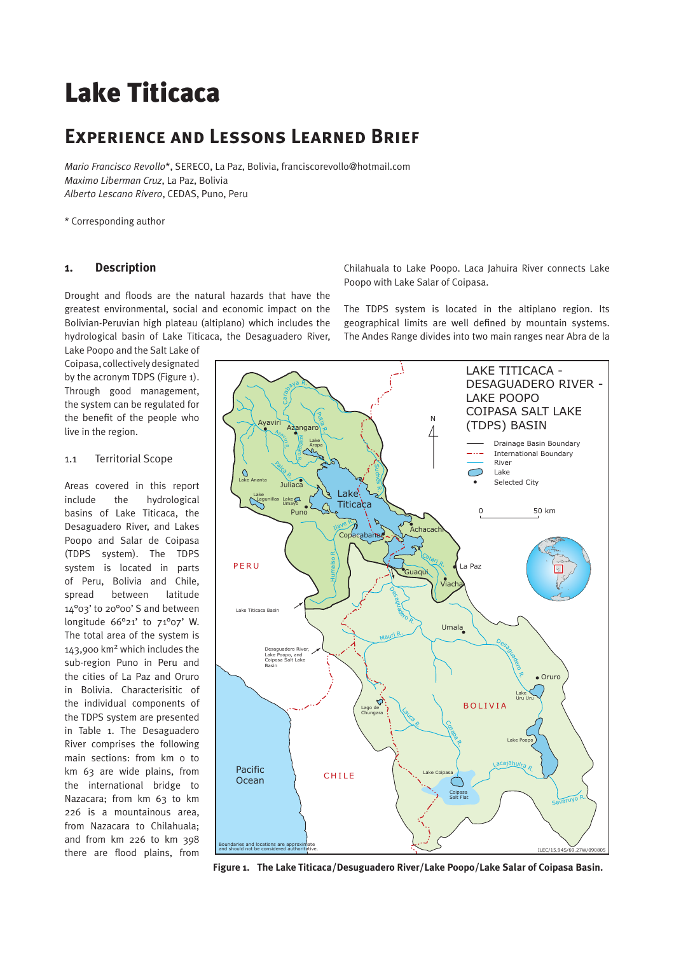# Lake Titicaca

# **Experience and Lessons Learned Brief**

*Mario Francisco Revollo*\*, SERECO, La Paz, Bolivia, franciscorevollo@hotmail.com *Maximo Liberman Cruz*, La Paz, Bolivia *Alberto Lescano Rivero*, CEDAS, Puno, Peru

\* Corresponding author

# **1. Description**

Drought and floods are the natural hazards that have the greatest environmental, social and economic impact on the Bolivian-Peruvian high plateau (altiplano) which includes the hydrological basin of Lake Titicaca, the Desaguadero River,

Lake Poopo and the Salt Lake of Coipasa, collectively designated by the acronym TDPS (Figure 1). Through good management, the system can be regulated for the benefit of the people who live in the region.

#### 1.1 Territorial Scope

Areas covered in this report include the hydrological basins of Lake Titicaca, the Desaguadero River, and Lakes Poopo and Salar de Coipasa (TDPS system). The TDPS system is located in parts of Peru, Bolivia and Chile, spread between latitude 14°03' to 20°00' S and between longitude 66°21' to 71°07' W. The total area of the system is 143,900 km2 which includes the sub-region Puno in Peru and the cities of La Paz and Oruro in Bolivia. Characterisitic of the individual components of the TDPS system are presented in Table 1. The Desaguadero River comprises the following main sections: from km 0 to km 63 are wide plains, from the international bridge to Nazacara; from km 63 to km 226 is a mountainous area, from Nazacara to Chilahuala; and from km 226 to km 398 there are flood plains, from

Chilahuala to Lake Poopo. Laca Jahuira River connects Lake Poopo with Lake Salar of Coipasa.

The TDPS system is located in the altiplano region. Its geographical limits are well defined by mountain systems. The Andes Range divides into two main ranges near Abra de la



**Figure 1. The Lake Titicaca/Desuguadero River/Lake Poopo/Lake Salar of Coipasa Basin.**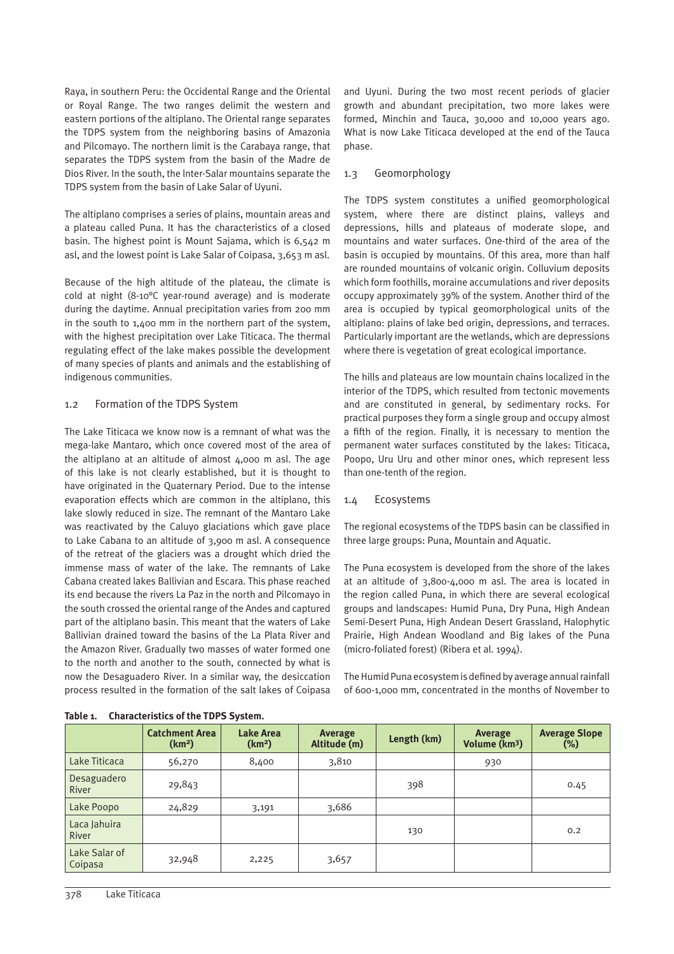Raya, in southern Peru: the Occidental Range and the Oriental or Royal Range. The two ranges delimit the western and eastern portions of the altiplano. The Oriental range separates the TDPS system from the neighboring basins of Amazonia and Pilcomayo. The northern limit is the Carabaya range, that separates the TDPS system from the basin of the Madre de Dios River. In the south, the lnter-Salar mountains separate the TDPS system from the basin of Lake Salar of Uyuni.

The altiplano comprises a series of plains, mountain areas and a plateau called Puna. It has the characteristics of a closed basin. The highest point is Mount Sajama, which is 6,542 m asl, and the lowest point is Lake Salar of Coipasa, 3,653 m asl.

Because of the high altitude of the plateau, the climate is cold at night (8-10°C year-round average) and is moderate during the daytime. Annual precipitation varies from 200 mm in the south to 1,400 mm in the northern part of the system, with the highest precipitation over Lake Titicaca. The thermal regulating effect of the lake makes possible the development of many species of plants and animals and the establishing of indigenous communities.

#### 1.2 Formation of the TDPS System

The Lake Titicaca we know now is a remnant of what was the mega-lake Mantaro, which once covered most of the area of the altiplano at an altitude of almost 4,000 m asl. The age of this lake is not clearly established, but it is thought to have originated in the Quaternary Period. Due to the intense evaporation effects which are common in the altiplano, this lake slowly reduced in size. The remnant of the Mantaro Lake was reactivated by the Caluyo glaciations which gave place to Lake Cabana to an altitude of 3,900 m asl. A consequence of the retreat of the glaciers was a drought which dried the immense mass of water of the lake. The remnants of Lake Cabana created lakes Ballivian and Escara. This phase reached its end because the rivers La Paz in the north and Pilcomayo in the south crossed the oriental range of the Andes and captured part of the altiplano basin. This meant that the waters of Lake Ballivian drained toward the basins of the La Plata River and the Amazon River. Gradually two masses of water formed one to the north and another to the south, connected by what is now the Desaguadero River. In a similar way, the desiccation process resulted in the formation of the salt lakes of Coipasa and Uyuni. During the two most recent periods of glacier growth and abundant precipitation, two more lakes were formed, Minchin and Tauca, 30,000 and 10,000 years ago. What is now Lake Titicaca developed at the end of the Tauca phase.

#### 1.3 Geomorphology

The TDPS system constitutes a unified geomorphological system, where there are distinct plains, valleys and depressions, hills and plateaus of moderate slope, and mountains and water surfaces. One-third of the area of the basin is occupied by mountains. Of this area, more than half are rounded mountains of volcanic origin. Colluvium deposits which form foothills, moraine accumulations and river deposits occupy approximately 39% of the system. Another third of the area is occupied by typical geomorphological units of the altiplano: plains of lake bed origin, depressions, and terraces. Particularly important are the wetlands, which are depressions where there is vegetation of great ecological importance.

The hills and plateaus are low mountain chains localized in the interior of the TDPS, which resulted from tectonic movements and are constituted in general, by sedimentary rocks. For practical purposes they form a single group and occupy almost a fifth of the region. Finally, it is necessary to mention the permanent water surfaces constituted by the lakes: Titicaca, Poopo, Uru Uru and other minor ones, which represent less than one-tenth of the region.

#### 1.4 Ecosystems

The regional ecosystems of the TDPS basin can be classified in three large groups: Puna, Mountain and Aquatic.

The Puna ecosystem is developed from the shore of the lakes at an altitude of 3,800-4,000 m asl. The area is located in the region called Puna, in which there are several ecological groups and landscapes: Humid Puna, Dry Puna, High Andean Semi-Desert Puna, High Andean Desert Grassland, Halophytic Prairie, High Andean Woodland and Big lakes of the Puna (micro-foliated forest) (Ribera et al. 1994).

The Humid Puna ecosystem is defined by average annual rainfall of 600-1,000 mm, concentrated in the months of November to

| $\frac{1}{2}$                |                                             |                                        |                         |             |                                      |                                |  |  |
|------------------------------|---------------------------------------------|----------------------------------------|-------------------------|-------------|--------------------------------------|--------------------------------|--|--|
|                              | <b>Catchment Area</b><br>(km <sup>2</sup> ) | <b>Lake Area</b><br>(km <sup>2</sup> ) | Average<br>Altitude (m) | Length (km) | Average<br>Volume (km <sup>3</sup> ) | <b>Average Slope</b><br>$(\%)$ |  |  |
| Lake Titicaca                | 56,270                                      | 8,400                                  | 3,810                   |             | 930                                  |                                |  |  |
| Desaguadero<br>River         | 29,843                                      |                                        |                         | 398         |                                      | 0.45                           |  |  |
| Lake Poopo                   | 24,829                                      | 3,191                                  | 3,686                   |             |                                      |                                |  |  |
| Laca Jahuira<br><b>River</b> |                                             |                                        |                         | 130         |                                      | 0.2                            |  |  |
| Lake Salar of<br>Coipasa     | 32,948                                      | 2,225                                  | 3,657                   |             |                                      |                                |  |  |

| <b>Characteristics of the TDPS System.</b><br>Table 1. |  |  |
|--------------------------------------------------------|--|--|
|--------------------------------------------------------|--|--|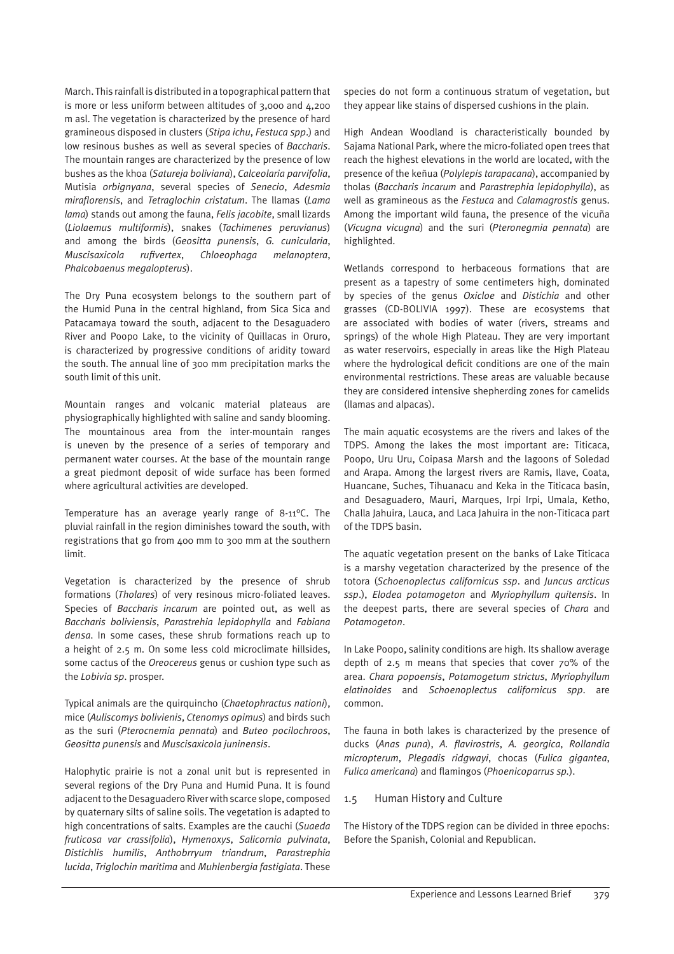March. This rainfall is distributed in a topographical pattern that is more or less uniform between altitudes of 3,000 and 4,200 m asl. The vegetation is characterized by the presence of hard gramineous disposed in clusters (*Stipa ichu*, *Festuca spp*.) and low resinous bushes as well as several species of *Baccharis*. The mountain ranges are characterized by the presence of low bushes as the khoa (*Satureja boliviana*), *Calceolaria parvifolia*, Mutisia *orbignyana*, several species of *Senecio*, *Adesmia miraflorensis*, and *Tetraglochin cristatum*. The llamas (*Lama lama*) stands out among the fauna, *Felis jacobite*, small lizards (*Liolaemus multiformis*), snakes (*Tachimenes peruvianus*) and among the birds (*Geositta punensis*, *G. cunicularia*, *Muscisaxicola rufivertex*, *Chloeophaga melanoptera*, *Phalcobaenus megalopterus*).

The Dry Puna ecosystem belongs to the southern part of the Humid Puna in the central highland, from Sica Sica and Patacamaya toward the south, adjacent to the Desaguadero River and Poopo Lake, to the vicinity of Quillacas in Oruro, is characterized by progressive conditions of aridity toward the south. The annual line of 300 mm precipitation marks the south limit of this unit.

Mountain ranges and volcanic material plateaus are physiographically highlighted with saline and sandy blooming. The mountainous area from the inter-mountain ranges is uneven by the presence of a series of temporary and permanent water courses. At the base of the mountain range a great piedmont deposit of wide surface has been formed where agricultural activities are developed.

Temperature has an average yearly range of 8-11°C. The pluvial rainfall in the region diminishes toward the south, with registrations that go from 400 mm to 300 mm at the southern limit.

Vegetation is characterized by the presence of shrub formations (*Tholares*) of very resinous micro-foliated leaves. Species of *Baccharis incarum* are pointed out, as well as *Baccharis boliviensis*, *Parastrehia lepidophylla* and *Fabiana densa*. In some cases, these shrub formations reach up to a height of 2.5 m. On some less cold microclimate hillsides, some cactus of the *Oreocereus* genus or cushion type such as the *Lobivia sp*. prosper.

Typical animals are the quirquincho (*Chaetophractus nationi*), mice (*Auliscomys bolivienis*, *Ctenomys opimus*) and birds such as the suri (*Pterocnemia pennata*) and *Buteo pocilochroos*, *Geositta punensis* and *Muscisaxicola juninensis*.

Halophytic prairie is not a zonal unit but is represented in several regions of the Dry Puna and Humid Puna. It is found adjacent to the Desaguadero River with scarce slope, composed by quaternary silts of saline soils. The vegetation is adapted to high concentrations of salts. Examples are the cauchi (*Suaeda fruticosa var crassifolia*), *Hymenoxys*, *Salicornia pulvinata*, *Distichlis humilis*, *Anthobrryum triandrum*, *Parastrephia lucida*, *Triglochin maritima* and *Muhlenbergia fastigiata*. These

species do not form a continuous stratum of vegetation, but they appear like stains of dispersed cushions in the plain.

High Andean Woodland is characteristically bounded by Sajama National Park, where the micro-foliated open trees that reach the highest elevations in the world are located, with the presence of the keñua (*Polylepis tarapacana*), accompanied by tholas (*Baccharis incarum* and *Parastrephia lepidophylla*), as well as gramineous as the *Festuca* and *Calamagrostis* genus. Among the important wild fauna, the presence of the vicuña (*Vicugna vicugna*) and the suri (*Pteronegmia pennata*) are highlighted.

Wetlands correspond to herbaceous formations that are present as a tapestry of some centimeters high, dominated by species of the genus *Oxicloe* and *Distichia* and other grasses (CD-BOLIVIA 1997). These are ecosystems that are associated with bodies of water (rivers, streams and springs) of the whole High Plateau. They are very important as water reservoirs, especially in areas like the High Plateau where the hydrological deficit conditions are one of the main environmental restrictions. These areas are valuable because they are considered intensive shepherding zones for camelids (llamas and alpacas).

The main aquatic ecosystems are the rivers and lakes of the TDPS. Among the lakes the most important are: Titicaca, Poopo, Uru Uru, Coipasa Marsh and the lagoons of Soledad and Arapa. Among the largest rivers are Ramis, Ilave, Coata, Huancane, Suches, Tihuanacu and Keka in the Titicaca basin, and Desaguadero, Mauri, Marques, Irpi Irpi, Umala, Ketho, Challa Jahuira, Lauca, and Laca Jahuira in the non-Titicaca part of the TDPS basin.

The aquatic vegetation present on the banks of Lake Titicaca is a marshy vegetation characterized by the presence of the totora (*Schoenoplectus californicus ssp*. and *Juncus arcticus ssp*.), *Elodea potamogeton* and *Myriophyllum quitensis*. In the deepest parts, there are several species of *Chara* and *Potamogeton*.

In Lake Poopo, salinity conditions are high. Its shallow average depth of 2.5 m means that species that cover 70% of the area. *Chara popoensis*, *Potamogetum strictus*, *Myriophyllum elatinoides* and *Schoenoplectus californicus spp*. are common.

The fauna in both lakes is characterized by the presence of ducks (*Anas puna*), *A. flavirostris*, *A. georgica*, *Rollandia micropterum*, *Plegadis ridgwayi*, chocas (*Fulica gigantea*, *Fulica americana*) and flamingos (*Phoenicoparrus sp.*).

#### 1.5 Human History and Culture

The History of the TDPS region can be divided in three epochs: Before the Spanish, Colonial and Republican.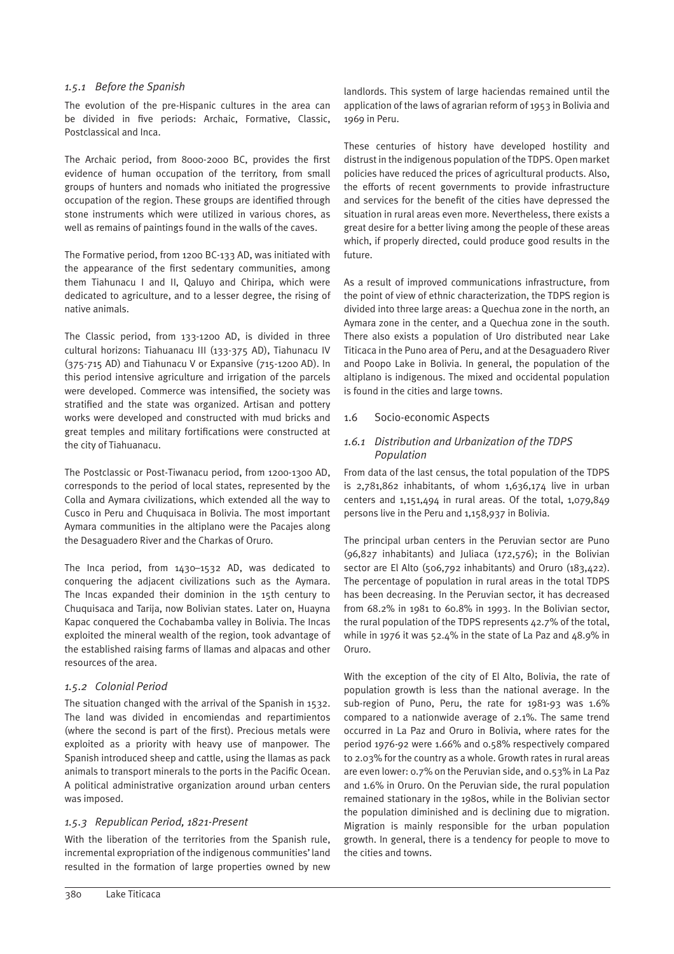#### *1.5.1 Before the Spanish*

The evolution of the pre-Hispanic cultures in the area can be divided in five periods: Archaic, Formative, Classic, Postclassical and Inca.

The Archaic period, from 8000-2000 BC, provides the first evidence of human occupation of the territory, from small groups of hunters and nomads who initiated the progressive occupation of the region. These groups are identified through stone instruments which were utilized in various chores, as well as remains of paintings found in the walls of the caves.

The Formative period, from 1200 BC-133 AD, was initiated with the appearance of the first sedentary communities, among them Tiahunacu I and II, Qaluyo and Chiripa, which were dedicated to agriculture, and to a lesser degree, the rising of native animals.

The Classic period, from 133-1200 AD, is divided in three cultural horizons: Tiahuanacu III (133-375 AD), Tiahunacu IV (375-715 AD) and Tiahunacu V or Expansive (715-1200 AD). In this period intensive agriculture and irrigation of the parcels were developed. Commerce was intensified, the society was stratified and the state was organized. Artisan and pottery works were developed and constructed with mud bricks and great temples and military fortifications were constructed at the city of Tiahuanacu.

The Postclassic or Post-Tiwanacu period, from 1200-1300 AD, corresponds to the period of local states, represented by the Colla and Aymara civilizations, which extended all the way to Cusco in Peru and Chuquisaca in Bolivia. The most important Aymara communities in the altiplano were the Pacajes along the Desaguadero River and the Charkas of Oruro.

The Inca period, from 1430–1532 AD, was dedicated to conquering the adjacent civilizations such as the Aymara. The Incas expanded their dominion in the 15th century to Chuquisaca and Tarija, now Bolivian states. Later on, Huayna Kapac conquered the Cochabamba valley in Bolivia. The Incas exploited the mineral wealth of the region, took advantage of the established raising farms of llamas and alpacas and other resources of the area.

#### *1.5.2 Colonial Period*

The situation changed with the arrival of the Spanish in 1532. The land was divided in encomiendas and repartimientos (where the second is part of the first). Precious metals were exploited as a priority with heavy use of manpower. The Spanish introduced sheep and cattle, using the llamas as pack animals to transport minerals to the ports in the Pacific Ocean. A political administrative organization around urban centers was imposed.

# *1.5.3 Republican Period, 1821-Present*

With the liberation of the territories from the Spanish rule, incremental expropriation of the indigenous communities' land resulted in the formation of large properties owned by new

landlords. This system of large haciendas remained until the application of the laws of agrarian reform of 1953 in Bolivia and 1969 in Peru.

These centuries of history have developed hostility and distrust in the indigenous population of the TDPS. Open market policies have reduced the prices of agricultural products. Also, the efforts of recent governments to provide infrastructure and services for the benefit of the cities have depressed the situation in rural areas even more. Nevertheless, there exists a great desire for a better living among the people of these areas which, if properly directed, could produce good results in the future.

As a result of improved communications infrastructure, from the point of view of ethnic characterization, the TDPS region is divided into three large areas: a Quechua zone in the north, an Aymara zone in the center, and a Quechua zone in the south. There also exists a population of Uro distributed near Lake Titicaca in the Puno area of Peru, and at the Desaguadero River and Poopo Lake in Bolivia. In general, the population of the altiplano is indigenous. The mixed and occidental population is found in the cities and large towns.

#### 1.6 Socio-economic Aspects

# *1.6.1 Distribution and Urbanization of the TDPS Population*

From data of the last census, the total population of the TDPS is  $2,781,862$  inhabitants, of whom  $1,636,174$  live in urban centers and 1,151,494 in rural areas. Of the total, 1,079,849 persons live in the Peru and 1,158,937 in Bolivia.

The principal urban centers in the Peruvian sector are Puno (96,827 inhabitants) and Juliaca (172,576); in the Bolivian sector are El Alto (506,792 inhabitants) and Oruro (183,422). The percentage of population in rural areas in the total TDPS has been decreasing. In the Peruvian sector, it has decreased from 68.2% in 1981 to 60.8% in 1993. In the Bolivian sector, the rural population of the TDPS represents 42.7% of the total, while in 1976 it was 52.4% in the state of La Paz and 48.9% in Oruro.

With the exception of the city of El Alto, Bolivia, the rate of population growth is less than the national average. In the sub-region of Puno, Peru, the rate for 1981-93 was 1.6% compared to a nationwide average of 2.1%. The same trend occurred in La Paz and Oruro in Bolivia, where rates for the period 1976-92 were 1.66% and 0.58% respectively compared to 2.03% for the country as a whole. Growth rates in rural areas are even lower: 0.7% on the Peruvian side, and 0.53% in La Paz and 1.6% in Oruro. On the Peruvian side, the rural population remained stationary in the 1980s, while in the Bolivian sector the population diminished and is declining due to migration. Migration is mainly responsible for the urban population growth. In general, there is a tendency for people to move to the cities and towns.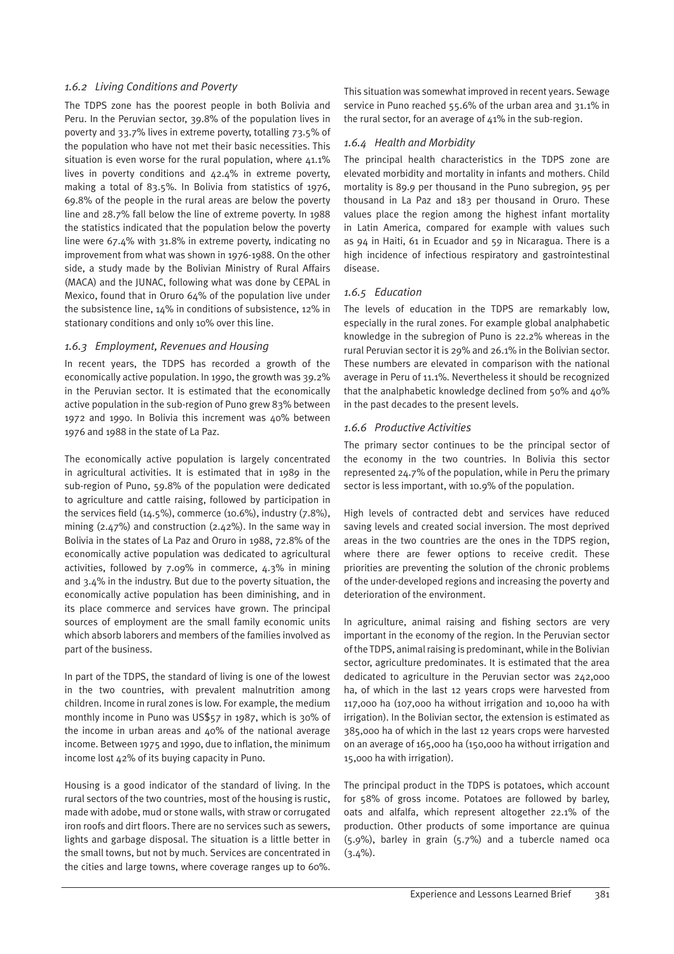#### *1.6.2 Living Conditions and Poverty*

The TDPS zone has the poorest people in both Bolivia and Peru. In the Peruvian sector, 39.8% of the population lives in poverty and 33.7% lives in extreme poverty, totalling 73.5% of the population who have not met their basic necessities. This situation is even worse for the rural population, where  $41.1\%$ lives in poverty conditions and 42.4% in extreme poverty, making a total of 83.5%. In Bolivia from statistics of 1976, 69.8% of the people in the rural areas are below the poverty line and 28.7% fall below the line of extreme poverty. In 1988 the statistics indicated that the population below the poverty line were 67.4% with 31.8% in extreme poverty, indicating no improvement from what was shown in 1976-1988. On the other side, a study made by the Bolivian Ministry of Rural Affairs (MACA) and the JUNAC, following what was done by CEPAL in Mexico, found that in Oruro 64% of the population live under the subsistence line, 14% in conditions of subsistence, 12% in stationary conditions and only 10% over this line.

#### *1.6.3 Employment, Revenues and Housing*

In recent years, the TDPS has recorded a growth of the economically active population. In 1990, the growth was 39.2% in the Peruvian sector. It is estimated that the economically active population in the sub-region of Puno grew 83% between 1972 and 1990. In Bolivia this increment was 40% between 1976 and 1988 in the state of La Paz.

The economically active population is largely concentrated in agricultural activities. It is estimated that in 1989 in the sub-region of Puno, 59.8% of the population were dedicated to agriculture and cattle raising, followed by participation in the services field (14.5%), commerce (10.6%), industry (7.8%), mining (2.47%) and construction (2.42%). In the same way in Bolivia in the states of La Paz and Oruro in 1988, 72.8% of the economically active population was dedicated to agricultural activities, followed by 7.09% in commerce, 4.3% in mining and 3.4% in the industry. But due to the poverty situation, the economically active population has been diminishing, and in its place commerce and services have grown. The principal sources of employment are the small family economic units which absorb laborers and members of the families involved as part of the business.

In part of the TDPS, the standard of living is one of the lowest in the two countries, with prevalent malnutrition among children. Income in rural zones is low. For example, the medium monthly income in Puno was US\$57 in 1987, which is 30% of the income in urban areas and 40% of the national average income. Between 1975 and 1990, due to inflation, the minimum income lost 42% of its buying capacity in Puno.

Housing is a good indicator of the standard of living. In the rural sectors of the two countries, most of the housing is rustic, made with adobe, mud or stone walls, with straw or corrugated iron roofs and dirt floors. There are no services such as sewers, lights and garbage disposal. The situation is a little better in the small towns, but not by much. Services are concentrated in the cities and large towns, where coverage ranges up to 60%.

This situation was somewhat improved in recent years. Sewage service in Puno reached 55.6% of the urban area and 31.1% in the rural sector, for an average of 41% in the sub-region.

# *1.6.4 Health and Morbidity*

The principal health characteristics in the TDPS zone are elevated morbidity and mortality in infants and mothers. Child mortality is 89.9 per thousand in the Puno subregion, 95 per thousand in La Paz and 183 per thousand in Oruro. These values place the region among the highest infant mortality in Latin America, compared for example with values such as 94 in Haiti, 61 in Ecuador and 59 in Nicaragua. There is a high incidence of infectious respiratory and gastrointestinal disease.

# *1.6.5 Education*

The levels of education in the TDPS are remarkably low, especially in the rural zones. For example global analphabetic knowledge in the subregion of Puno is 22.2% whereas in the rural Peruvian sector it is 29% and 26.1% in the Bolivian sector. These numbers are elevated in comparison with the national average in Peru of 11.1%. Nevertheless it should be recognized that the analphabetic knowledge declined from 50% and 40% in the past decades to the present levels.

# *1.6.6 Productive Activities*

The primary sector continues to be the principal sector of the economy in the two countries. In Bolivia this sector represented 24.7% of the population, while in Peru the primary sector is less important, with 10.9% of the population.

High levels of contracted debt and services have reduced saving levels and created social inversion. The most deprived areas in the two countries are the ones in the TDPS region, where there are fewer options to receive credit. These priorities are preventing the solution of the chronic problems of the under-developed regions and increasing the poverty and deterioration of the environment.

In agriculture, animal raising and fishing sectors are very important in the economy of the region. In the Peruvian sector of the TDPS, animal raising is predominant, while in the Bolivian sector, agriculture predominates. It is estimated that the area dedicated to agriculture in the Peruvian sector was 242,000 ha, of which in the last 12 years crops were harvested from 117,000 ha (107,000 ha without irrigation and 10,000 ha with irrigation). In the Bolivian sector, the extension is estimated as 385,000 ha of which in the last 12 years crops were harvested on an average of 165,000 ha (150,000 ha without irrigation and 15,000 ha with irrigation).

The principal product in the TDPS is potatoes, which account for 58% of gross income. Potatoes are followed by barley, oats and alfalfa, which represent altogether 22.1% of the production. Other products of some importance are quinua (5.9%), barley in grain (5.7%) and a tubercle named oca  $(3.4\%)$ .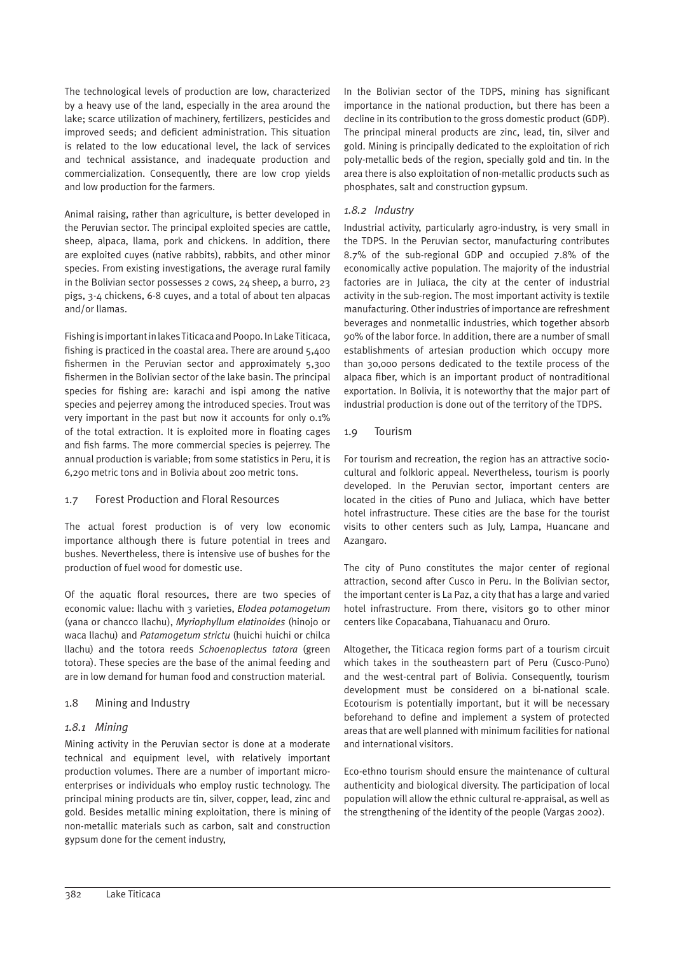The technological levels of production are low, characterized by a heavy use of the land, especially in the area around the lake; scarce utilization of machinery, fertilizers, pesticides and improved seeds; and deficient administration. This situation is related to the low educational level, the lack of services and technical assistance, and inadequate production and commercialization. Consequently, there are low crop yields and low production for the farmers.

Animal raising, rather than agriculture, is better developed in the Peruvian sector. The principal exploited species are cattle, sheep, alpaca, llama, pork and chickens. In addition, there are exploited cuyes (native rabbits), rabbits, and other minor species. From existing investigations, the average rural family in the Bolivian sector possesses 2 cows, 24 sheep, a burro, 23 pigs, 3-4 chickens, 6-8 cuyes, and a total of about ten alpacas and/or llamas.

Fishing is important in lakes Titicaca and Poopo. In Lake Titicaca, fishing is practiced in the coastal area. There are around 5,400 fishermen in the Peruvian sector and approximately 5,300 fishermen in the Bolivian sector of the lake basin. The principal species for fishing are: karachi and ispi among the native species and pejerrey among the introduced species. Trout was very important in the past but now it accounts for only 0.1% of the total extraction. It is exploited more in floating cages and fish farms. The more commercial species is pejerrey. The annual production is variable; from some statistics in Peru, it is 6,290 metric tons and in Bolivia about 200 metric tons.

# 1.7 Forest Production and Floral Resources

The actual forest production is of very low economic importance although there is future potential in trees and bushes. Nevertheless, there is intensive use of bushes for the production of fuel wood for domestic use.

Of the aquatic floral resources, there are two species of economic value: llachu with 3 varieties, *Elodea potamogetum* (yana or chancco llachu), *Myriophyllum elatinoides* (hinojo or waca llachu) and *Patamogetum strictu* (huichi huichi or chilca llachu) and the totora reeds *Schoenoplectus tatora* (green totora). These species are the base of the animal feeding and are in low demand for human food and construction material.

# 1.8 Mining and Industry

# *1.8.1 Mining*

Mining activity in the Peruvian sector is done at a moderate technical and equipment level, with relatively important production volumes. There are a number of important microenterprises or individuals who employ rustic technology. The principal mining products are tin, silver, copper, lead, zinc and gold. Besides metallic mining exploitation, there is mining of non-metallic materials such as carbon, salt and construction gypsum done for the cement industry,

In the Bolivian sector of the TDPS, mining has significant importance in the national production, but there has been a decline in its contribution to the gross domestic product (GDP). The principal mineral products are zinc, lead, tin, silver and gold. Mining is principally dedicated to the exploitation of rich poly-metallic beds of the region, specially gold and tin. In the area there is also exploitation of non-metallic products such as phosphates, salt and construction gypsum.

# *1.8.2 Industry*

Industrial activity, particularly agro-industry, is very small in the TDPS. In the Peruvian sector, manufacturing contributes 8.7% of the sub-regional GDP and occupied 7.8% of the economically active population. The majority of the industrial factories are in Juliaca, the city at the center of industrial activity in the sub-region. The most important activity is textile manufacturing. Other industries of importance are refreshment beverages and nonmetallic industries, which together absorb 90% of the labor force. In addition, there are a number of small establishments of artesian production which occupy more than 30,000 persons dedicated to the textile process of the alpaca fiber, which is an important product of nontraditional exportation. In Bolivia, it is noteworthy that the major part of industrial production is done out of the territory of the TDPS.

# 1.9 Tourism

For tourism and recreation, the region has an attractive sociocultural and folkloric appeal. Nevertheless, tourism is poorly developed. In the Peruvian sector, important centers are located in the cities of Puno and Juliaca, which have better hotel infrastructure. These cities are the base for the tourist visits to other centers such as July, Lampa, Huancane and Azangaro.

The city of Puno constitutes the major center of regional attraction, second after Cusco in Peru. In the Bolivian sector, the important center is La Paz, a city that has a large and varied hotel infrastructure. From there, visitors go to other minor centers like Copacabana, Tiahuanacu and Oruro.

Altogether, the Titicaca region forms part of a tourism circuit which takes in the southeastern part of Peru (Cusco-Puno) and the west-central part of Bolivia. Consequently, tourism development must be considered on a bi-national scale. Ecotourism is potentially important, but it will be necessary beforehand to define and implement a system of protected areas that are well planned with minimum facilities for national and international visitors.

Eco-ethno tourism should ensure the maintenance of cultural authenticity and biological diversity. The participation of local population will allow the ethnic cultural re-appraisal, as well as the strengthening of the identity of the people (Vargas 2002).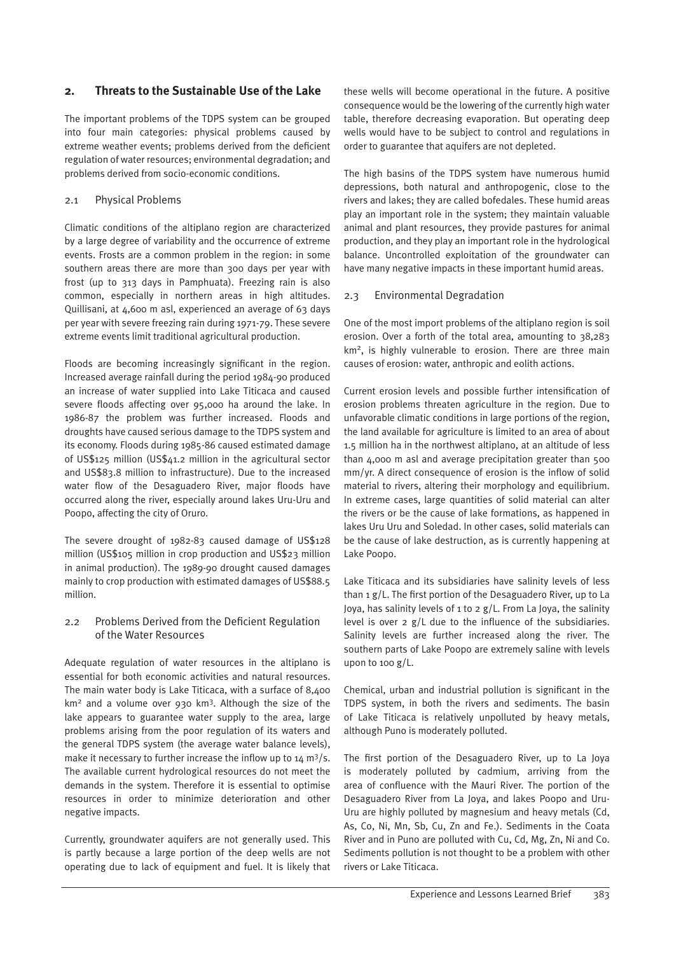# **2. Threats to the Sustainable Use of the Lake**

The important problems of the TDPS system can be grouped into four main categories: physical problems caused by extreme weather events; problems derived from the deficient regulation of water resources; environmental degradation; and problems derived from socio-economic conditions.

#### 2.1 Physical Problems

Climatic conditions of the altiplano region are characterized by a large degree of variability and the occurrence of extreme events. Frosts are a common problem in the region: in some southern areas there are more than 300 days per year with frost (up to 313 days in Pamphuata). Freezing rain is also common, especially in northern areas in high altitudes. Quillisani, at 4,600 m asl, experienced an average of 63 days per year with severe freezing rain during 1971-79. These severe extreme events limit traditional agricultural production.

Floods are becoming increasingly significant in the region. Increased average rainfall during the period 1984-90 produced an increase of water supplied into Lake Titicaca and caused severe floods affecting over 95,000 ha around the lake. In 1986-87 the problem was further increased. Floods and droughts have caused serious damage to the TDPS system and its economy. Floods during 1985-86 caused estimated damage of US\$125 million (US\$41.2 million in the agricultural sector and US\$83.8 million to infrastructure). Due to the increased water flow of the Desaguadero River, major floods have occurred along the river, especially around lakes Uru-Uru and Poopo, affecting the city of Oruro.

The severe drought of 1982-83 caused damage of US\$128 million (US\$105 million in crop production and US\$23 million in animal production). The 1989-90 drought caused damages mainly to crop production with estimated damages of US\$88.5 million.

#### 2.2 Problems Derived from the Deficient Regulation of the Water Resources

Adequate regulation of water resources in the altiplano is essential for both economic activities and natural resources. The main water body is Lake Titicaca, with a surface of 8,400 km<sup>2</sup> and a volume over 930 km<sup>3</sup>. Although the size of the lake appears to guarantee water supply to the area, large problems arising from the poor regulation of its waters and the general TDPS system (the average water balance levels), make it necessary to further increase the inflow up to 14 m<sup>3</sup>/s. The available current hydrological resources do not meet the demands in the system. Therefore it is essential to optimise resources in order to minimize deterioration and other negative impacts.

Currently, groundwater aquifers are not generally used. This is partly because a large portion of the deep wells are not operating due to lack of equipment and fuel. It is likely that

these wells will become operational in the future. A positive consequence would be the lowering of the currently high water table, therefore decreasing evaporation. But operating deep wells would have to be subject to control and regulations in order to guarantee that aquifers are not depleted.

The high basins of the TDPS system have numerous humid depressions, both natural and anthropogenic, close to the rivers and lakes; they are called bofedales. These humid areas play an important role in the system; they maintain valuable animal and plant resources, they provide pastures for animal production, and they play an important role in the hydrological balance. Uncontrolled exploitation of the groundwater can have many negative impacts in these important humid areas.

#### 2.3 Environmental Degradation

One of the most import problems of the altiplano region is soil erosion. Over a forth of the total area, amounting to 38,283 km2, is highly vulnerable to erosion. There are three main causes of erosion: water, anthropic and eolith actions.

Current erosion levels and possible further intensification of erosion problems threaten agriculture in the region. Due to unfavorable climatic conditions in large portions of the region, the land available for agriculture is limited to an area of about 1.5 million ha in the northwest altiplano, at an altitude of less than 4,000 m asl and average precipitation greater than 500 mm/yr. A direct consequence of erosion is the inflow of solid material to rivers, altering their morphology and equilibrium. In extreme cases, large quantities of solid material can alter the rivers or be the cause of lake formations, as happened in lakes Uru Uru and Soledad. In other cases, solid materials can be the cause of lake destruction, as is currently happening at Lake Poopo.

Lake Titicaca and its subsidiaries have salinity levels of less than 1 g/L. The first portion of the Desaguadero River, up to La Joya, has salinity levels of 1 to 2 g/L. From La Joya, the salinity level is over 2 g/L due to the influence of the subsidiaries. Salinity levels are further increased along the river. The southern parts of Lake Poopo are extremely saline with levels upon to 100 g/L.

Chemical, urban and industrial pollution is significant in the TDPS system, in both the rivers and sediments. The basin of Lake Titicaca is relatively unpolluted by heavy metals, although Puno is moderately polluted.

The first portion of the Desaguadero River, up to La Joya is moderately polluted by cadmium, arriving from the area of confluence with the Mauri River. The portion of the Desaguadero River from La Joya, and lakes Poopo and Uru-Uru are highly polluted by magnesium and heavy metals (Cd, As, Co, Ni, Mn, Sb, Cu, Zn and Fe.). Sediments in the Coata River and in Puno are polluted with Cu, Cd, Mg, Zn, Ni and Co. Sediments pollution is not thought to be a problem with other rivers or Lake Titicaca.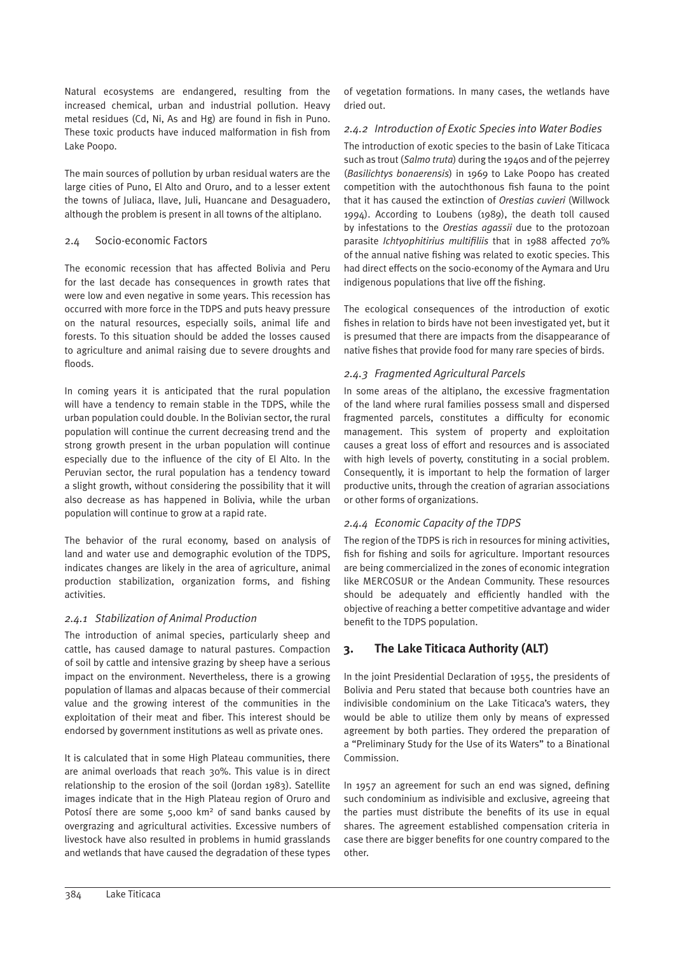Natural ecosystems are endangered, resulting from the increased chemical, urban and industrial pollution. Heavy metal residues (Cd, Ni, As and Hg) are found in fish in Puno. These toxic products have induced malformation in fish from Lake Poopo.

The main sources of pollution by urban residual waters are the large cities of Puno, El Alto and Oruro, and to a lesser extent the towns of Juliaca, Ilave, Juli, Huancane and Desaguadero, although the problem is present in all towns of the altiplano.

# 2.4 Socio-economic Factors

The economic recession that has affected Bolivia and Peru for the last decade has consequences in growth rates that were low and even negative in some years. This recession has occurred with more force in the TDPS and puts heavy pressure on the natural resources, especially soils, animal life and forests. To this situation should be added the losses caused to agriculture and animal raising due to severe droughts and floods.

In coming years it is anticipated that the rural population will have a tendency to remain stable in the TDPS, while the urban population could double. In the Bolivian sector, the rural population will continue the current decreasing trend and the strong growth present in the urban population will continue especially due to the influence of the city of El Alto. In the Peruvian sector, the rural population has a tendency toward a slight growth, without considering the possibility that it will also decrease as has happened in Bolivia, while the urban population will continue to grow at a rapid rate.

The behavior of the rural economy, based on analysis of land and water use and demographic evolution of the TDPS, indicates changes are likely in the area of agriculture, animal production stabilization, organization forms, and fishing activities.

# *2.4.1 Stabilization of Animal Production*

The introduction of animal species, particularly sheep and cattle, has caused damage to natural pastures. Compaction of soil by cattle and intensive grazing by sheep have a serious impact on the environment. Nevertheless, there is a growing population of llamas and alpacas because of their commercial value and the growing interest of the communities in the exploitation of their meat and fiber. This interest should be endorsed by government institutions as well as private ones.

It is calculated that in some High Plateau communities, there are animal overloads that reach 30%. This value is in direct relationship to the erosion of the soil (Jordan 1983). Satellite images indicate that in the High Plateau region of Oruro and Potosí there are some  $5,000 \text{ km}^2$  of sand banks caused by overgrazing and agricultural activities. Excessive numbers of livestock have also resulted in problems in humid grasslands and wetlands that have caused the degradation of these types of vegetation formations. In many cases, the wetlands have dried out.

# *2.4.2 Introduction of Exotic Species into Water Bodies*

The introduction of exotic species to the basin of Lake Titicaca such as trout (*Salmo truta*) during the 1940s and of the pejerrey (*Basilichtys bonaerensis*) in 1969 to Lake Poopo has created competition with the autochthonous fish fauna to the point that it has caused the extinction of *Orestias cuvieri* (Willwock 1994). According to Loubens (1989), the death toll caused by infestations to the *Orestias agassii* due to the protozoan parasite *Ichtyophitirius multifiliis* that in 1988 affected 70% of the annual native fishing was related to exotic species. This had direct effects on the socio-economy of the Aymara and Uru indigenous populations that live off the fishing.

The ecological consequences of the introduction of exotic fishes in relation to birds have not been investigated yet, but it is presumed that there are impacts from the disappearance of native fishes that provide food for many rare species of birds.

# *2.4.3 Fragmented Agricultural Parcels*

In some areas of the altiplano, the excessive fragmentation of the land where rural families possess small and dispersed fragmented parcels, constitutes a difficulty for economic management. This system of property and exploitation causes a great loss of effort and resources and is associated with high levels of poverty, constituting in a social problem. Consequently, it is important to help the formation of larger productive units, through the creation of agrarian associations or other forms of organizations.

# *2.4.4 Economic Capacity of the TDPS*

The region of the TDPS is rich in resources for mining activities, fish for fishing and soils for agriculture. Important resources are being commercialized in the zones of economic integration like MERCOSUR or the Andean Community. These resources should be adequately and efficiently handled with the objective of reaching a better competitive advantage and wider benefit to the TDPS population.

# **3. The Lake Titicaca Authority (ALT)**

In the joint Presidential Declaration of 1955, the presidents of Bolivia and Peru stated that because both countries have an indivisible condominium on the Lake Titicaca's waters, they would be able to utilize them only by means of expressed agreement by both parties. They ordered the preparation of a "Preliminary Study for the Use of its Waters" to a Binational Commission.

In 1957 an agreement for such an end was signed, defining such condominium as indivisible and exclusive, agreeing that the parties must distribute the benefits of its use in equal shares. The agreement established compensation criteria in case there are bigger benefits for one country compared to the other.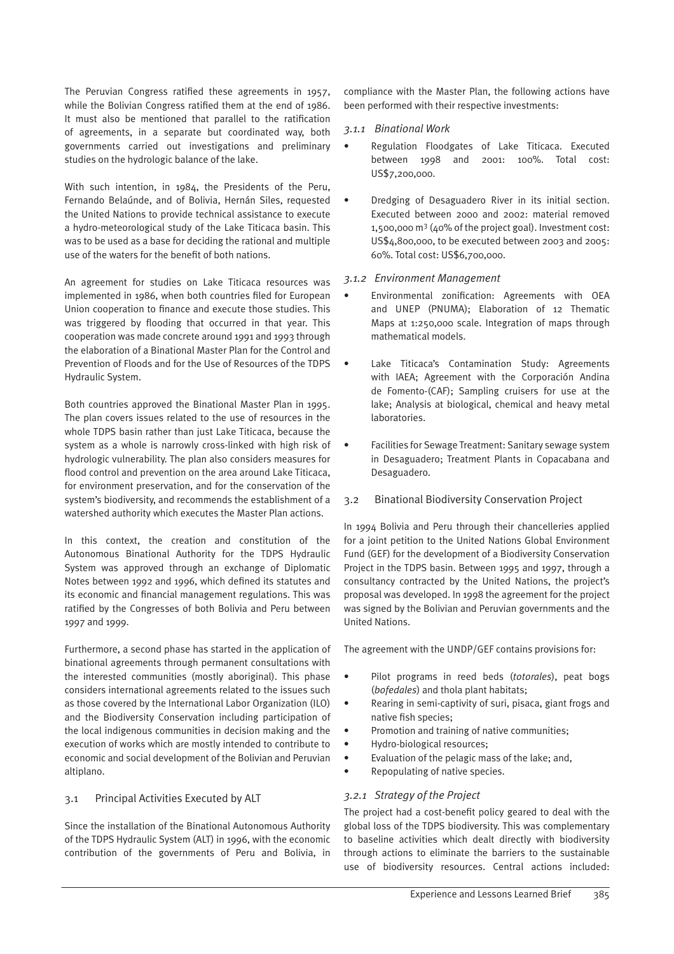The Peruvian Congress ratified these agreements in 1957, while the Bolivian Congress ratified them at the end of 1986. It must also be mentioned that parallel to the ratification of agreements, in a separate but coordinated way, both governments carried out investigations and preliminary studies on the hydrologic balance of the lake.

With such intention, in 1984, the Presidents of the Peru, Fernando Belaúnde, and of Bolivia, Hernán Siles, requested the United Nations to provide technical assistance to execute a hydro-meteorological study of the Lake Titicaca basin. This was to be used as a base for deciding the rational and multiple use of the waters for the benefit of both nations.

An agreement for studies on Lake Titicaca resources was implemented in 1986, when both countries filed for European Union cooperation to finance and execute those studies. This was triggered by flooding that occurred in that year. This cooperation was made concrete around 1991 and 1993 through the elaboration of a Binational Master Plan for the Control and Prevention of Floods and for the Use of Resources of the TDPS Hydraulic System.

Both countries approved the Binational Master Plan in 1995. The plan covers issues related to the use of resources in the whole TDPS basin rather than just Lake Titicaca, because the system as a whole is narrowly cross-linked with high risk of hydrologic vulnerability. The plan also considers measures for flood control and prevention on the area around Lake Titicaca, for environment preservation, and for the conservation of the system's biodiversity, and recommends the establishment of a watershed authority which executes the Master Plan actions.

In this context, the creation and constitution of the Autonomous Binational Authority for the TDPS Hydraulic System was approved through an exchange of Diplomatic Notes between 1992 and 1996, which defined its statutes and its economic and financial management regulations. This was ratified by the Congresses of both Bolivia and Peru between 1997 and 1999.

Furthermore, a second phase has started in the application of binational agreements through permanent consultations with the interested communities (mostly aboriginal). This phase considers international agreements related to the issues such as those covered by the International Labor Organization (ILO) and the Biodiversity Conservation including participation of the local indigenous communities in decision making and the execution of works which are mostly intended to contribute to economic and social development of the Bolivian and Peruvian altiplano.

# 3.1 Principal Activities Executed by ALT

Since the installation of the Binational Autonomous Authority of the TDPS Hydraulic System (ALT) in 1996, with the economic contribution of the governments of Peru and Bolivia, in compliance with the Master Plan, the following actions have been performed with their respective investments:

#### *3.1.1 Binational Work*

- Regulation Floodgates of Lake Titicaca. Executed between 1998 and 2001: 100%. Total cost: US\$7,200,000.
- Dredging of Desaguadero River in its initial section. Executed between 2000 and 2002: material removed 1,500,000 m3 (40% of the project goal). Investment cost: US\$4,800,000, to be executed between 2003 and 2005: 60%. Total cost: US\$6,700,000.

#### *3.1.2 Environment Management*

- Environmental zonification: Agreements with OEA and UNEP (PNUMA); Elaboration of 12 Thematic Maps at 1:250,000 scale. Integration of maps through mathematical models.
- Lake Titicaca's Contamination Study: Agreements with IAEA; Agreement with the Corporación Andina de Fomento-(CAF); Sampling cruisers for use at the lake; Analysis at biological, chemical and heavy metal laboratories.
- Facilities for Sewage Treatment: Sanitary sewage system in Desaguadero; Treatment Plants in Copacabana and Desaguadero.
- 3.2 Binational Biodiversity Conservation Project

In 1994 Bolivia and Peru through their chancelleries applied for a joint petition to the United Nations Global Environment Fund (GEF) for the development of a Biodiversity Conservation Project in the TDPS basin. Between 1995 and 1997, through a consultancy contracted by the United Nations, the project's proposal was developed. In 1998 the agreement for the project was signed by the Bolivian and Peruvian governments and the United Nations.

The agreement with the UNDP/GEF contains provisions for:

- Pilot programs in reed beds (*totorales*), peat bogs (*bofedales*) and thola plant habitats;
- Rearing in semi-captivity of suri, pisaca, giant frogs and native fish species;
- Promotion and training of native communities;
- Hydro-biological resources;
- Evaluation of the pelagic mass of the lake; and,
- Repopulating of native species.

# *3.2.1 Strategy of the Project*

The project had a cost-benefit policy geared to deal with the global loss of the TDPS biodiversity. This was complementary to baseline activities which dealt directly with biodiversity through actions to eliminate the barriers to the sustainable use of biodiversity resources. Central actions included: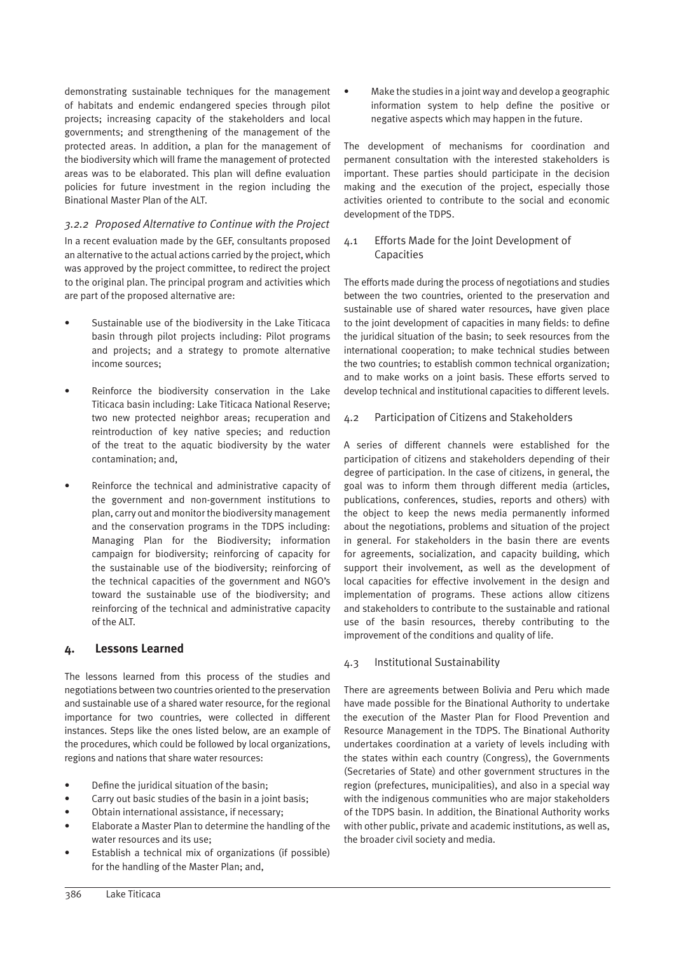demonstrating sustainable techniques for the management of habitats and endemic endangered species through pilot projects; increasing capacity of the stakeholders and local governments; and strengthening of the management of the protected areas. In addition, a plan for the management of the biodiversity which will frame the management of protected areas was to be elaborated. This plan will define evaluation policies for future investment in the region including the Binational Master Plan of the ALT.

# *3.2.2 Proposed Alternative to Continue with the Project*

In a recent evaluation made by the GEF, consultants proposed an alternative to the actual actions carried by the project, which was approved by the project committee, to redirect the project to the original plan. The principal program and activities which are part of the proposed alternative are:

- Sustainable use of the biodiversity in the Lake Titicaca basin through pilot projects including: Pilot programs and projects; and a strategy to promote alternative income sources;
- Reinforce the biodiversity conservation in the Lake Titicaca basin including: Lake Titicaca National Reserve; two new protected neighbor areas; recuperation and reintroduction of key native species; and reduction of the treat to the aquatic biodiversity by the water contamination; and,
- Reinforce the technical and administrative capacity of the government and non-government institutions to plan, carry out and monitor the biodiversity management and the conservation programs in the TDPS including: Managing Plan for the Biodiversity; information campaign for biodiversity; reinforcing of capacity for the sustainable use of the biodiversity; reinforcing of the technical capacities of the government and NGO's toward the sustainable use of the biodiversity; and reinforcing of the technical and administrative capacity of the ALT.

# **4. Lessons Learned**

The lessons learned from this process of the studies and negotiations between two countries oriented to the preservation and sustainable use of a shared water resource, for the regional importance for two countries, were collected in different instances. Steps like the ones listed below, are an example of the procedures, which could be followed by local organizations, regions and nations that share water resources:

- Define the juridical situation of the basin;
- Carry out basic studies of the basin in a joint basis:
- Obtain international assistance, if necessary;
- Elaborate a Master Plan to determine the handling of the water resources and its use;
- Establish a technical mix of organizations (if possible) for the handling of the Master Plan; and,

• Make the studies in a joint way and develop a geographic information system to help define the positive or negative aspects which may happen in the future.

The development of mechanisms for coordination and permanent consultation with the interested stakeholders is important. These parties should participate in the decision making and the execution of the project, especially those activities oriented to contribute to the social and economic development of the TDPS.

#### 4.1 Efforts Made for the Joint Development of Capacities

The efforts made during the process of negotiations and studies between the two countries, oriented to the preservation and sustainable use of shared water resources, have given place to the joint development of capacities in many fields: to define the juridical situation of the basin; to seek resources from the international cooperation; to make technical studies between the two countries; to establish common technical organization; and to make works on a joint basis. These efforts served to develop technical and institutional capacities to different levels.

# 4.2 Participation of Citizens and Stakeholders

A series of different channels were established for the participation of citizens and stakeholders depending of their degree of participation. In the case of citizens, in general, the goal was to inform them through different media (articles, publications, conferences, studies, reports and others) with the object to keep the news media permanently informed about the negotiations, problems and situation of the project in general. For stakeholders in the basin there are events for agreements, socialization, and capacity building, which support their involvement, as well as the development of local capacities for effective involvement in the design and implementation of programs. These actions allow citizens and stakeholders to contribute to the sustainable and rational use of the basin resources, thereby contributing to the improvement of the conditions and quality of life.

#### 4.3 Institutional Sustainability

There are agreements between Bolivia and Peru which made have made possible for the Binational Authority to undertake the execution of the Master Plan for Flood Prevention and Resource Management in the TDPS. The Binational Authority undertakes coordination at a variety of levels including with the states within each country (Congress), the Governments (Secretaries of State) and other government structures in the region (prefectures, municipalities), and also in a special way with the indigenous communities who are major stakeholders of the TDPS basin. In addition, the Binational Authority works with other public, private and academic institutions, as well as, the broader civil society and media.